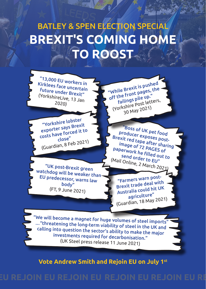## **BREXIT'S COMING HOME TO ROOST** BATLEY & SPEN ELECTION SPECIAL

"13,000 EU workers in Kirklees face uncertain future under Brexit" (YorkshireLive, 13 Jan 2020)

"Yorkshire lobster exporter says Brexit costs have forced it to close" (Guardian, 8 Feb 2021)

"UK post-Brexit green watchdog will be weaker than EU predecessor, warns law body" (FT, 9 June 2021)

"While Brexit is pushed off the front pages, the failings pile up." (Yorkshire Post letters, 30 May 2021)

"Boss of UK pet food producer exposes post-Brexit red tape after sharing image of 72 PAGES of paperwork he filled out to send order to EU" (Mail Online, 2 March 2021)

"Farmers warn post-Brexit trade deal with Australia could hit UK agriculture" (Guardian, 18 May 2021)

"We will become a magnet for huge volumes of steel imports $^{\prime}$ …"threatening the long-term viability of steel in the UK and calling into question the sector's ability to make the major investments required for decarbonisation." (UK Steel press release 11 June 2021)

**Vote Andrew Smith and Rejoin EU on July 1st**